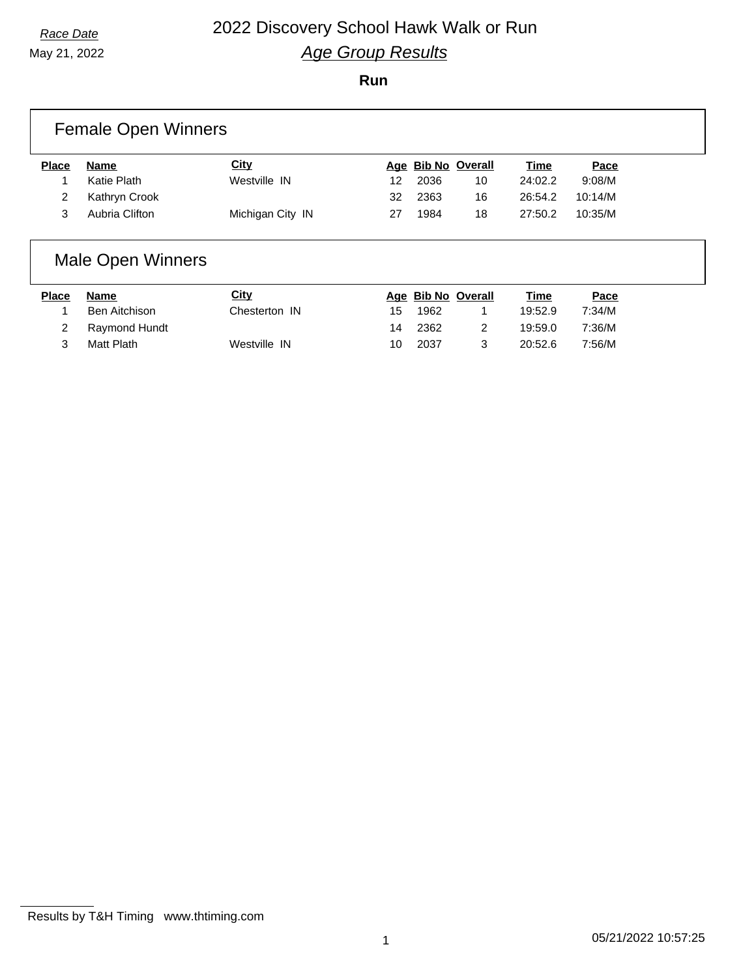May 21, 2022

### **Run**

|              | <b>Female Open Winners</b> |                  |    |      |                    |             |         |  |
|--------------|----------------------------|------------------|----|------|--------------------|-------------|---------|--|
| <b>Place</b> | Name                       | <b>City</b>      |    |      | Age Bib No Overall | <b>Time</b> | Pace    |  |
|              | Katie Plath                | Westville IN     | 12 | 2036 | 10                 | 24:02.2     | 9:08/M  |  |
| 2            | Kathryn Crook              |                  | 32 | 2363 | 16                 | 26:54.2     | 10:14/M |  |
| 3            | Aubria Clifton             | Michigan City IN | 27 | 1984 | 18                 | 27:50.2     | 10:35/M |  |
|              |                            |                  |    |      |                    |             |         |  |

## Male Open Winners

| Place | Name          | <u>City</u>   |    | Age Bib No Overall | <u>Time</u> | <u>Pace</u> |
|-------|---------------|---------------|----|--------------------|-------------|-------------|
|       | Ben Aitchison | Chesterton IN | 15 | 1962               | 19:52.9     | 7:34/M      |
|       | Raymond Hundt |               | 14 | 2362               | 19:59.0     | 7:36/M      |
|       | Matt Plath    | Westville IN  | 10 | 2037               | 20:52.6     | 7:56/M      |

Results by T&H Timing www.thtiming.com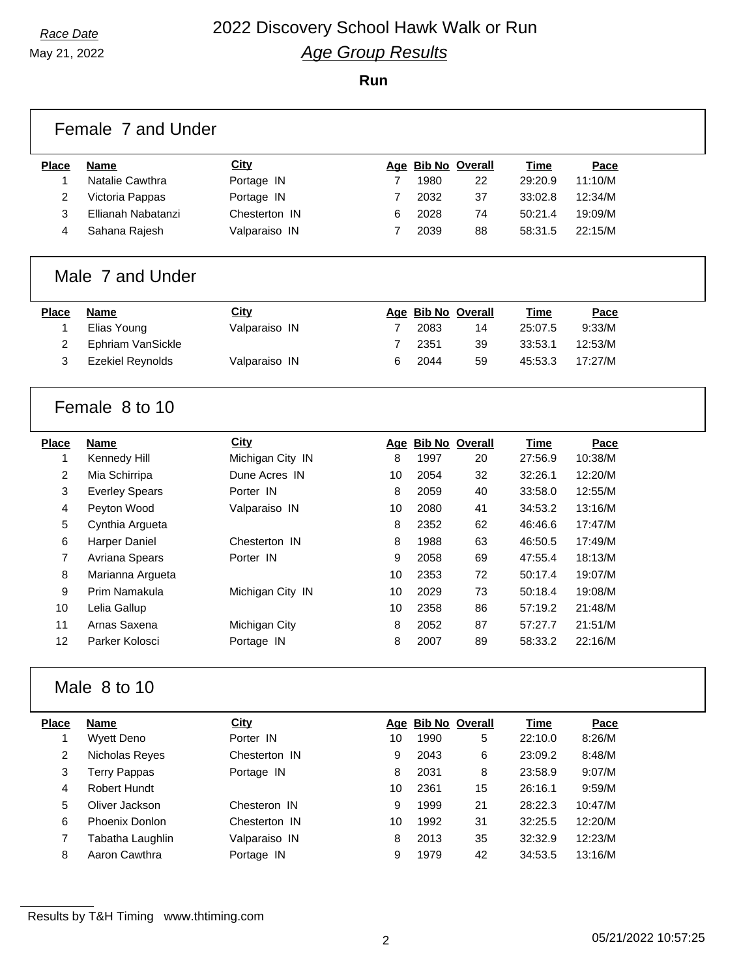May 21, 2022

**Run**

|                | Female 7 and Under      |                  |    |      |                    |             |         |  |  |  |
|----------------|-------------------------|------------------|----|------|--------------------|-------------|---------|--|--|--|
| <b>Place</b>   | <b>Name</b>             | City             |    |      | Age Bib No Overall | <u>Time</u> | Pace    |  |  |  |
| $\mathbf{1}$   | Natalie Cawthra         | Portage IN       | 7  | 1980 | 22                 | 29:20.9     | 11:10/M |  |  |  |
| 2              | Victoria Pappas         | Portage IN       | 7  | 2032 | 37                 | 33:02.8     | 12:34/M |  |  |  |
| 3              | Ellianah Nabatanzi      | Chesterton IN    | 6  | 2028 | 74                 | 50:21.4     | 19:09/M |  |  |  |
| 4              | Sahana Rajesh           | Valparaiso IN    | 7  | 2039 | 88                 | 58:31.5     | 22:15/M |  |  |  |
|                | Male 7 and Under        |                  |    |      |                    |             |         |  |  |  |
| <b>Place</b>   | Name                    | <b>City</b>      |    |      | Age Bib No Overall | <b>Time</b> | Pace    |  |  |  |
| $\mathbf{1}$   | Elias Young             | Valparaiso IN    | 7  | 2083 | 14                 | 25:07.5     | 9:33/M  |  |  |  |
| 2              | Ephriam VanSickle       |                  | 7  | 2351 | 39                 | 33:53.1     | 12:53/M |  |  |  |
| 3              | <b>Ezekiel Reynolds</b> | Valparaiso IN    | 6  | 2044 | 59                 | 45:53.3     | 17:27/M |  |  |  |
|                |                         |                  |    |      |                    |             |         |  |  |  |
|                | Female 8 to 10          |                  |    |      |                    |             |         |  |  |  |
| <b>Place</b>   | <b>Name</b>             | <b>City</b>      |    |      | Age Bib No Overall | <b>Time</b> | Pace    |  |  |  |
| 1              | Kennedy Hill            | Michigan City IN | 8  | 1997 | 20                 | 27:56.9     | 10:38/M |  |  |  |
| 2              | Mia Schirripa           | Dune Acres IN    | 10 | 2054 | 32                 | 32:26.1     | 12:20/M |  |  |  |
| 3              | <b>Everley Spears</b>   | Porter IN        | 8  | 2059 | 40                 | 33:58.0     | 12:55/M |  |  |  |
| 4              | Peyton Wood             | Valparaiso IN    | 10 | 2080 | 41                 | 34:53.2     | 13:16/M |  |  |  |
| 5              | Cynthia Argueta         |                  | 8  | 2352 | 62                 | 46:46.6     | 17:47/M |  |  |  |
| 6              | <b>Harper Daniel</b>    | Chesterton IN    | 8  | 1988 | 63                 | 46:50.5     | 17:49/M |  |  |  |
| $\overline{7}$ | Avriana Spears          | Porter IN        | 9  | 2058 | 69                 | 47:55.4     | 18:13/M |  |  |  |
| 8              | Marianna Argueta        |                  | 10 | 2353 | 72                 | 50:17.4     | 19:07/M |  |  |  |
| 9              | Prim Namakula           | Michigan City IN | 10 | 2029 | 73                 | 50:18.4     | 19:08/M |  |  |  |
| 10             | Lelia Gallup            |                  | 10 | 2358 | 86                 | 57:19.2     | 21:48/M |  |  |  |
| 11             | Arnas Saxena            | Michigan City    | 8  | 2052 | 87                 | 57:27.7     | 21:51/M |  |  |  |
| 12             | Parker Kolosci          | Portage IN       | 8  | 2007 | 89                 | 58:33.2     | 22:16/M |  |  |  |
| Male 8 to 10   |                         |                  |    |      |                    |             |         |  |  |  |
| <b>Place</b>   | <b>Name</b>             | City             |    |      | Age Bib No Overall | <b>Time</b> | Pace    |  |  |  |
| 1              | <b>Wyett Deno</b>       | Porter IN        | 10 | 1990 | 5                  | 22:10.0     | 8:26/M  |  |  |  |
| 2              | Nicholas Reyes          | Chesterton IN    | 9  | 2043 | 6                  | 23:09.2     | 8:48/M  |  |  |  |
| 3              | <b>Terry Pappas</b>     | Portage IN       | 8  | 2031 | 8                  | 23:58.9     | 9:07/M  |  |  |  |
| 4              | Robert Hundt            |                  | 10 | 2361 | 15                 | 26:16.1     | 9:59/M  |  |  |  |
| 5              | Oliver Jackson          | Chesteron IN     | 9  | 1999 | 21                 | 28:22.3     | 10:47/M |  |  |  |
| 6              | Phoenix Donlon          | Chesterton IN    | 10 | 1992 | 31                 | 32:25.5     | 12:20/M |  |  |  |
| 7              | Tabatha Laughlin        | Valparaiso IN    | 8  | 2013 | 35                 | 32:32.9     | 12:23/M |  |  |  |
| 8              | Aaron Cawthra           | Portage IN       | 9  | 1979 | 42                 | 34:53.5     | 13:16/M |  |  |  |

Results by T&H Timing www.thtiming.com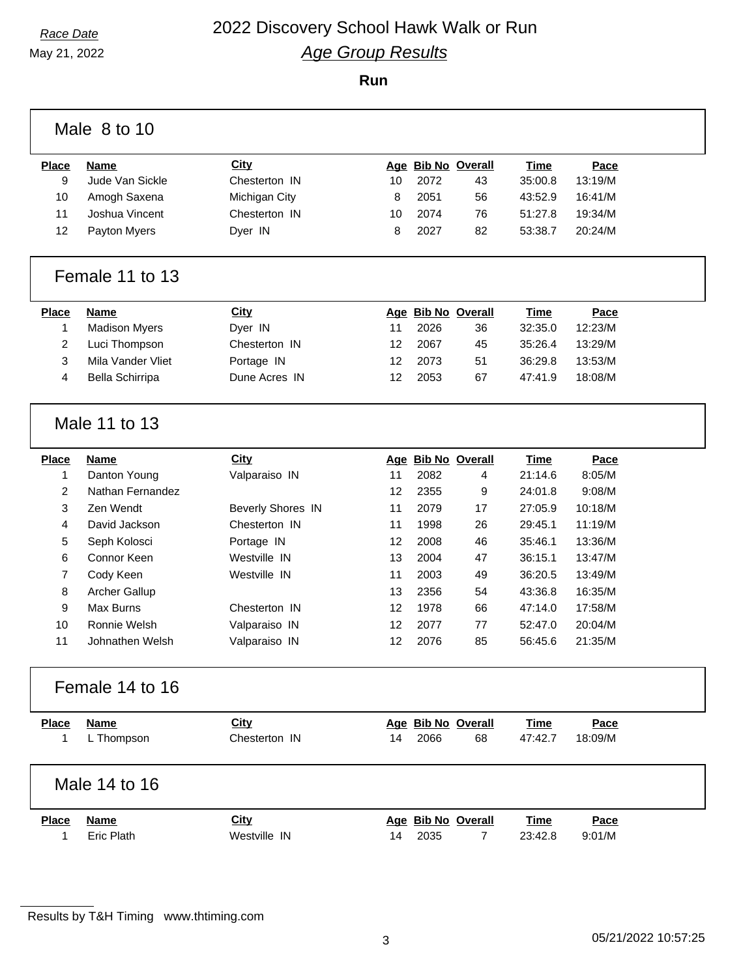**Run**

|                 | Male 8 to 10         |                          |    |      |                    |             |         |  |
|-----------------|----------------------|--------------------------|----|------|--------------------|-------------|---------|--|
| <b>Place</b>    | <b>Name</b>          | <b>City</b>              |    |      | Age Bib No Overall | Time        | Pace    |  |
| 9               | Jude Van Sickle      | Chesterton IN            | 10 | 2072 | 43                 | 35:00.8     | 13:19/M |  |
| 10              | Amogh Saxena         | Michigan City            | 8  | 2051 | 56                 | 43:52.9     | 16:41/M |  |
| 11              | Joshua Vincent       | Chesterton IN            | 10 | 2074 | 76                 | 51:27.8     | 19:34/M |  |
| 12              | Payton Myers         | Dyer IN                  | 8  | 2027 | 82                 | 53:38.7     | 20:24/M |  |
|                 | Female 11 to 13      |                          |    |      |                    |             |         |  |
| <b>Place</b>    | <b>Name</b>          | <b>City</b>              |    |      | Age Bib No Overall | <b>Time</b> | Pace    |  |
| 1               | <b>Madison Myers</b> | Dyer IN                  | 11 | 2026 | 36                 | 32:35.0     | 12:23/M |  |
| $\overline{2}$  | Luci Thompson        | Chesterton IN            | 12 | 2067 | 45                 | 35:26.4     | 13:29/M |  |
| $\mathbf{3}$    | Mila Vander Vliet    | Portage IN               | 12 | 2073 | 51                 | 36:29.8     | 13:53/M |  |
| 4               | Bella Schirripa      | Dune Acres IN            | 12 | 2053 | 67                 | 47:41.9     | 18:08/M |  |
|                 | Male 11 to 13        |                          |    |      |                    |             |         |  |
| <b>Place</b>    | <b>Name</b>          | <b>City</b>              |    |      | Age Bib No Overall | Time        | Pace    |  |
| $\mathbf{1}$    | Danton Young         | Valparaiso IN            | 11 | 2082 | 4                  | 21:14.6     | 8:05/M  |  |
| $\overline{c}$  | Nathan Fernandez     |                          | 12 | 2355 | 9                  | 24:01.8     | 9:08/M  |  |
| $\mathbf{3}$    | Zen Wendt            | <b>Beverly Shores IN</b> | 11 | 2079 | 17                 | 27:05.9     | 10:18/M |  |
| 4               | David Jackson        | Chesterton IN            | 11 | 1998 | 26                 | 29:45.1     | 11:19/M |  |
| 5               | Seph Kolosci         | Portage IN               | 12 | 2008 | 46                 | 35:46.1     | 13:36/M |  |
| 6               | Connor Keen          | Westville IN             | 13 | 2004 | 47                 | 36:15.1     | 13:47/M |  |
| $\overline{7}$  | Cody Keen            | Westville IN             | 11 | 2003 | 49                 | 36:20.5     | 13:49/M |  |
| 8               | Archer Gallup        |                          | 13 | 2356 | 54                 | 43:36.8     | 16:35/M |  |
| 9               | Max Burns            | Chesterton IN            | 12 | 1978 | 66                 | 47:14.0     | 17:58/M |  |
| 10 <sup>1</sup> | Ronnie Welsh         | Valparaiso IN            | 12 | 2077 | 77                 | 52:47.0     | 20:04/M |  |
| 11              | Johnathen Welsh      | Valparaiso IN            | 12 | 2076 | 85                 | 56:45.6     | 21:35/M |  |
|                 | Female 14 to 16      |                          |    |      |                    |             |         |  |
| <b>Place</b>    | <b>Name</b>          | <b>City</b>              |    |      | Age Bib No Overall | <b>Time</b> | Pace    |  |
| 1               | L Thompson           | Chesterton IN            | 14 | 2066 | 68                 | 47:42.7     | 18:09/M |  |
|                 | Male 14 to 16        |                          |    |      |                    |             |         |  |
| <b>Place</b>    | <b>Name</b>          | <b>City</b>              |    |      | Age Bib No Overall | Time        | Pace    |  |
| 1               | <b>Eric Plath</b>    | Westville IN             | 14 | 2035 | $\overline{7}$     | 23:42.8     | 9:01/M  |  |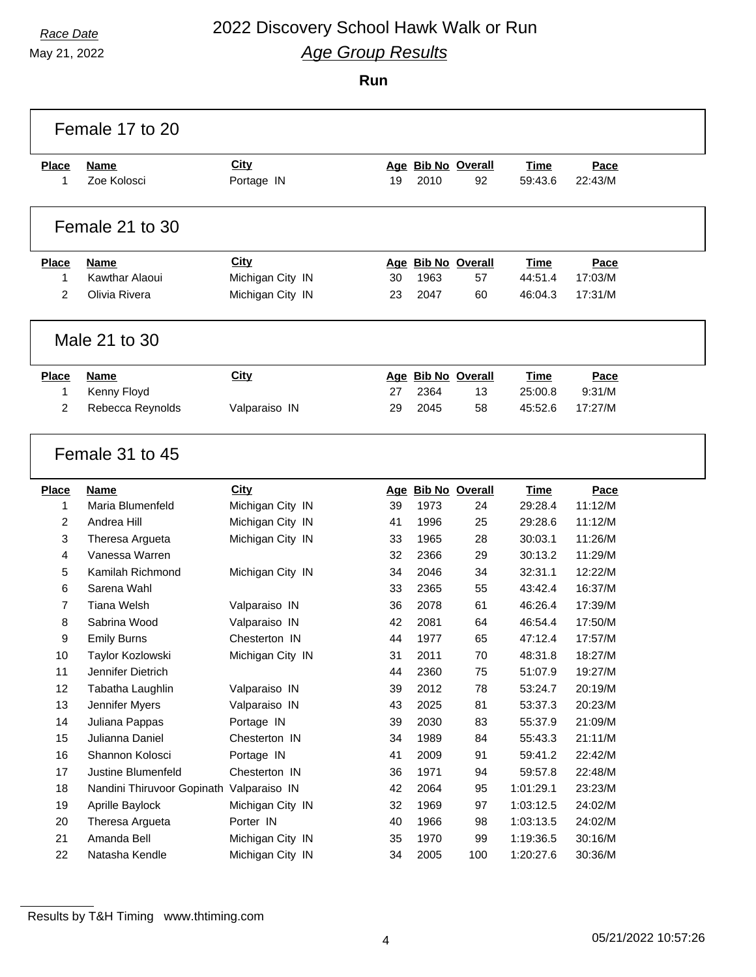May 21, 2022

### **Run**

|                | Female 17 to 20                          |                                      |          |      |                    |                        |                 |  |
|----------------|------------------------------------------|--------------------------------------|----------|------|--------------------|------------------------|-----------------|--|
| <b>Place</b>   | Name                                     | <b>City</b>                          |          |      | Age Bib No Overall | <b>Time</b>            | Pace            |  |
| 1              | Zoe Kolosci                              | Portage IN                           | 19       | 2010 | 92                 | 59:43.6                | 22:43/M         |  |
|                |                                          |                                      |          |      |                    |                        |                 |  |
|                | Female 21 to 30                          |                                      |          |      |                    |                        |                 |  |
| <b>Place</b>   | <b>Name</b>                              | City                                 |          |      | Age Bib No Overall | <b>Time</b>            | Pace            |  |
| 1              | Kawthar Alaoui                           | Michigan City IN                     | 30       | 1963 | 57                 | 44:51.4                | 17:03/M         |  |
| $\overline{2}$ | Olivia Rivera                            | Michigan City IN                     | 23       | 2047 | 60                 | 46:04.3                | 17:31/M         |  |
|                | Male 21 to 30                            |                                      |          |      |                    |                        |                 |  |
| <b>Place</b>   | <b>Name</b>                              | <b>City</b>                          |          |      | Age Bib No Overall | <b>Time</b>            | Pace            |  |
| 1              | Kenny Floyd                              |                                      | 27       | 2364 | 13                 | 25:00.8                | 9:31/M          |  |
| 2              | Rebecca Reynolds                         | Valparaiso IN                        | 29       | 2045 | 58                 | 45:52.6                | 17:27/M         |  |
|                | Female 31 to 45                          |                                      |          |      |                    |                        |                 |  |
| <b>Place</b>   | <b>Name</b><br>Maria Blumenfeld          | City                                 |          | 1973 | Age Bib No Overall | <b>Time</b><br>29:28.4 | Pace<br>11:12/M |  |
| 1<br>2         | Andrea Hill                              | Michigan City IN                     | 39<br>41 | 1996 | 24<br>25           | 29:28.6                | 11:12/M         |  |
| 3              | Theresa Argueta                          | Michigan City IN<br>Michigan City IN | 33       | 1965 | 28                 | 30:03.1                | 11:26/M         |  |
| 4              | Vanessa Warren                           |                                      | 32       | 2366 | 29                 | 30:13.2                | 11:29/M         |  |
| 5              | Kamilah Richmond                         | Michigan City IN                     | 34       | 2046 | 34                 | 32:31.1                | 12:22/M         |  |
| 6              | Sarena Wahl                              |                                      | 33       | 2365 | 55                 | 43:42.4                | 16:37/M         |  |
| 7              | <b>Tiana Welsh</b>                       | Valparaiso IN                        | 36       | 2078 | 61                 | 46:26.4                | 17:39/M         |  |
| 8              | Sabrina Wood                             | Valparaiso IN                        | 42       | 2081 | 64                 | 46:54.4                | 17:50/M         |  |
| 9              | <b>Emily Burns</b>                       | Chesterton IN                        | 44       | 1977 | 65                 | 47:12.4                | 17:57/M         |  |
| 10             | Taylor Kozlowski                         | Michigan City IN                     | 31       | 2011 | 70                 | 48:31.8                | 18:27/M         |  |
| 11             | Jennifer Dietrich                        |                                      | 44       | 2360 | 75                 | 51:07.9                | 19:27/M         |  |
| 12             | Tabatha Laughlin                         | Valparaiso IN                        | 39       | 2012 | 78                 | 53:24.7                | 20:19/M         |  |
| 13             | Jennifer Myers                           | Valparaiso IN                        | 43       | 2025 | 81                 | 53:37.3                | 20:23/M         |  |
| 14             | Juliana Pappas                           | Portage IN                           | 39       | 2030 | 83                 | 55:37.9                | 21:09/M         |  |
| 15             | Julianna Daniel                          | Chesterton IN                        | 34       | 1989 | 84                 | 55:43.3                | 21:11/M         |  |
| 16             | Shannon Kolosci                          | Portage IN                           | 41       | 2009 | 91                 | 59:41.2                | 22:42/M         |  |
| 17             | Justine Blumenfeld                       | Chesterton IN                        | 36       | 1971 | 94                 | 59:57.8                | 22:48/M         |  |
| 18             | Nandini Thiruvoor Gopinath Valparaiso IN |                                      | 42       | 2064 | 95                 | 1:01:29.1              | 23:23/M         |  |
| 19             | Aprille Baylock                          | Michigan City IN                     | 32       | 1969 | 97                 | 1:03:12.5              | 24:02/M         |  |
| 20             | Theresa Argueta                          | Porter IN                            | 40       | 1966 | 98                 | 1:03:13.5              | 24:02/M         |  |
| 21             | Amanda Bell                              | Michigan City IN                     | 35       | 1970 | 99                 | 1:19:36.5              | 30:16/M         |  |
| 22             | Natasha Kendle                           | Michigan City IN                     | 34       | 2005 | 100                | 1:20:27.6              | 30:36/M         |  |